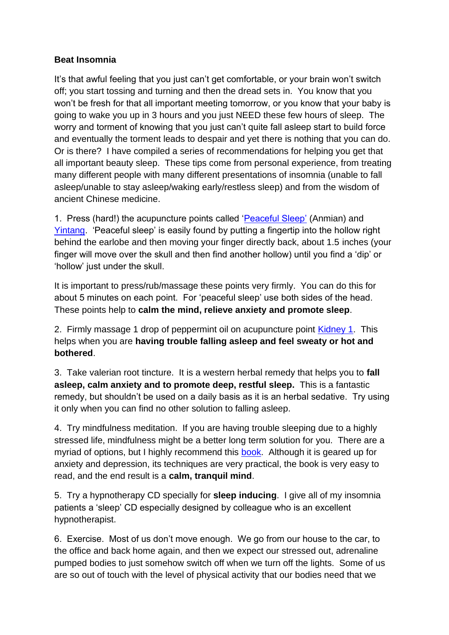## **Beat Insomnia**

It's that awful feeling that you just can't get comfortable, or your brain won't switch off; you start tossing and turning and then the dread sets in. You know that you won't be fresh for that all important meeting tomorrow, or you know that your baby is going to wake you up in 3 hours and you just NEED these few hours of sleep. The worry and torment of knowing that you just can't quite fall asleep start to build force and eventually the torment leads to despair and yet there is nothing that you can do. Or is there? I have compiled a series of recommendations for helping you get that all important beauty sleep. These tips come from personal experience, from treating many different people with many different presentations of insomnia (unable to fall asleep/unable to stay asleep/waking early/restless sleep) and from the wisdom of ancient Chinese medicine.

1. Press (hard!) the acupuncture points called ['Peaceful Sleep'](http://acupunctureblogtucson.files.wordpress.com/2012/08/anmian.gif) (Anmian) and [Yintang.](http://acutakehealth.com/wp-content/uploads/2012/07/Deadman_Yintang.jpg) 'Peaceful sleep' is easily found by putting a fingertip into the hollow right behind the earlobe and then moving your finger directly back, about 1.5 inches (your finger will move over the skull and then find another hollow) until you find a 'dip' or 'hollow' just under the skull.

It is important to press/rub/massage these points very firmly. You can do this for about 5 minutes on each point. For 'peaceful sleep' use both sides of the head. These points help to **calm the mind, relieve anxiety and promote sleep**.

2. Firmly massage 1 drop of peppermint oil on acupuncture point [Kidney 1.](http://www.yinyanghouse.com/acupuncturepoints/kd1) This helps when you are **having trouble falling asleep and feel sweaty or hot and bothered**.

3. Take valerian root tincture. It is a western herbal remedy that helps you to **fall asleep, calm anxiety and to promote deep, restful sleep.** This is a fantastic remedy, but shouldn't be used on a daily basis as it is an herbal sedative. Try using it only when you can find no other solution to falling asleep.

4. Try mindfulness meditation. If you are having trouble sleeping due to a highly stressed life, mindfulness might be a better long term solution for you. There are a myriad of options, but I highly recommend this [book.](https://www.amazon.co.uk/Mindfulness-practical-guide-finding-frantic/dp/074995308X/ref=sr_1_1?adgrpid=53544965256&dchild=1&gclid=CjwKCAjwrcH3BRApEiwAxjdPTarGawy4LnSBVwSRH9svpMYlqt20cMHFPgIby8liYzEKJJJ5ydOihhoCBqQQAvD_BwE&hvadid=259105527245&hvdev=c&hvlocphy=1006839&hvnetw=g&hvqmt=b&hvrand=995623780493800681&hvtargid=kwd-301080389273&hydadcr=24460_1816155&keywords=finding+peace+in+a+frantic+world&qid=1592833328&sr=8-1&tag=googhydr-21) Although it is geared up for anxiety and depression, its techniques are very practical, the book is very easy to read, and the end result is a **calm, tranquil mind**.

5. Try a hypnotherapy CD specially for **sleep inducing**. I give all of my insomnia patients a 'sleep' CD especially designed by colleague who is an excellent hypnotherapist.

6. Exercise. Most of us don't move enough. We go from our house to the car, to the office and back home again, and then we expect our stressed out, adrenaline pumped bodies to just somehow switch off when we turn off the lights. Some of us are so out of touch with the level of physical activity that our bodies need that we